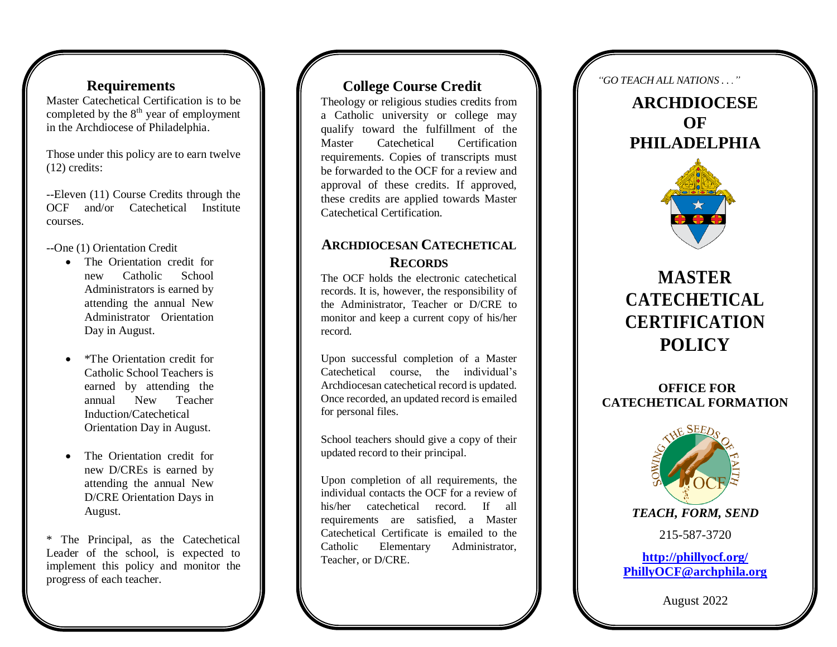## **Requirements**

Master Catechetical Certification is to be completed by the  $8<sup>th</sup>$  year of employment in the Archdiocese of Philadelphia.

Those under this policy are to earn twelve (12) credits:

--Eleven (11) Course Credits through the OCF and/or Catechetical Institute courses.

--One (1) Orientation Credit

- The Orientation credit for new Catholic School Administrators is earned by attending the annual New Administrator Orientation Day in August.
- $\bullet$ \*The Orientation credit for Catholic School Teachers is earned by attending the annual New Teacher Induction/Catechetical Orientation Day in August.
- The Orientation credit for new D/CREs is earned by attending the annual New D/CRE Orientation Days in August.

\* The Principal, as the Catechetical Leader of the school, is expected to implement this policy and monitor the progress of each teacher.

### **College Course Credit**

Theology or religious studies credits from a Catholic university or college may qualify toward the fulfillment of the Master Catechetical Certification requirements. Copies of transcripts must be forwarded to the OCF for a review and approval of these credits. If approved, these credits are applied towards Master Catechetical Certification.

## **ARCHDIOCESAN CATECHETICAL RECORDS**

The OCF holds the electronic catechetical record s. It is, however , the responsibility of the Administrator, Teacher or D/CRE to monitor and keep a current copy of his/her record.

Upon successful completion of a Master<br>Catechetical course, the individual's Archdiocesan catechetical record is updated.<br>Once recorded, an updated record is emailed

for personal files.<br>School teachers should give a copy of their updated record to their principal.

Upon completion of all requirements, the individual contacts the OCF for a review of his/her catechetical record. If all requirements are satisfied, a Master Catechetical Certificate is emailed to the Catholic Elementary Administrator, Teacher, or D/CRE .

*"GO TEA CH A LL NA TIONS . . ."*

**ARCHDIOCESE OF PHILADELPHIA**



# **MASTER C A T E C HETICAL C E R TIFICAT I O N P O LICY**

### **OFFICE FOR CATECHETICAL FORMATION**



**PhillyOCF@archphila.org**

August 2022